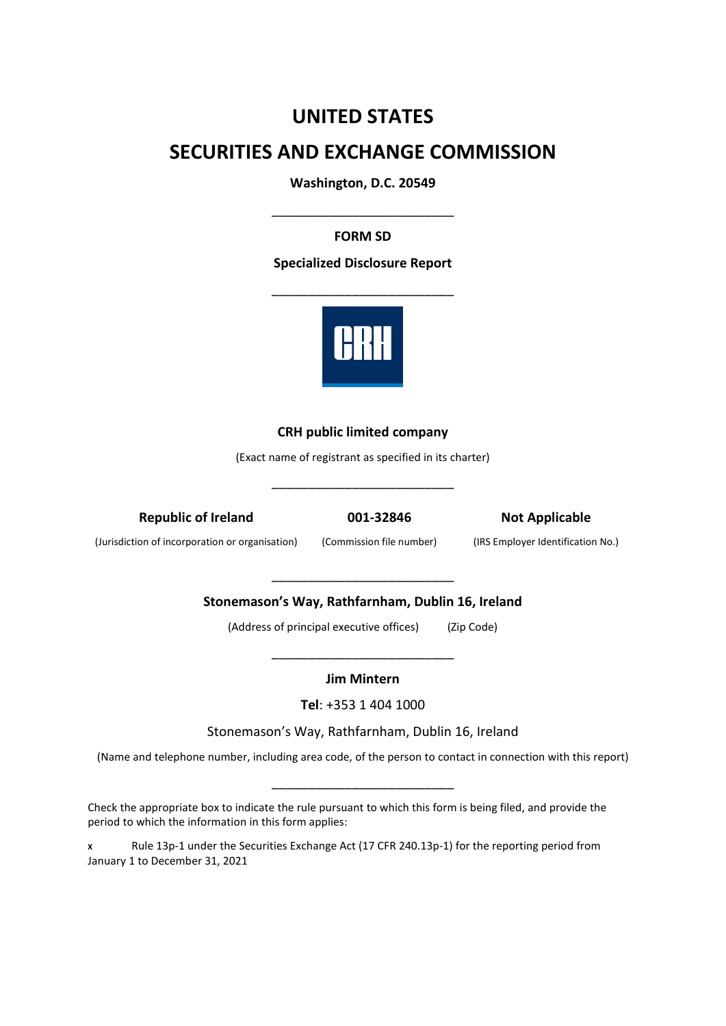# **UNITED STATES**

# **SECURITIES AND EXCHANGE COMMISSION**

**Washington, D.C. 20549**

\_\_\_\_\_\_\_\_\_\_\_\_\_\_\_\_\_\_\_\_\_\_\_\_\_

# **FORM SD**

# **Specialized Disclosure Report**



# **CRH public limited company**

(Exact name of registrant as specified in its charter)

\_\_\_\_\_\_\_\_\_\_\_\_\_\_\_\_\_\_\_\_\_\_\_\_\_

**Republic of Ireland**

**001-32846**

**Not Applicable**

(Jurisdiction of incorporation or organisation)

(Commission file number)

(IRS Employer Identification No.)

**Stonemason's Way, Rathfarnham, Dublin 16, Ireland**

(Address of principal executive offices) (Zip Code)

\_\_\_\_\_\_\_\_\_\_\_\_\_\_\_\_\_\_\_\_\_\_\_\_\_

# **Jim Mintern**

\_\_\_\_\_\_\_\_\_\_\_\_\_\_\_\_\_\_\_\_\_\_\_\_\_

**Tel**: +353 1 404 1000

Stonemason's Way, Rathfarnham, Dublin 16, Ireland

(Name and telephone number, including area code, of the person to contact in connection with this report)

\_\_\_\_\_\_\_\_\_\_\_\_\_\_\_\_\_\_\_\_\_\_\_\_\_

Check the appropriate box to indicate the rule pursuant to which this form is being filed, and provide the period to which the information in this form applies:

**<sup>X</sup>** Rule 13p-1 under the Securities Exchange Act (17 CFR 240.13p-1) for the reporting period from January 1 to December 31, 2021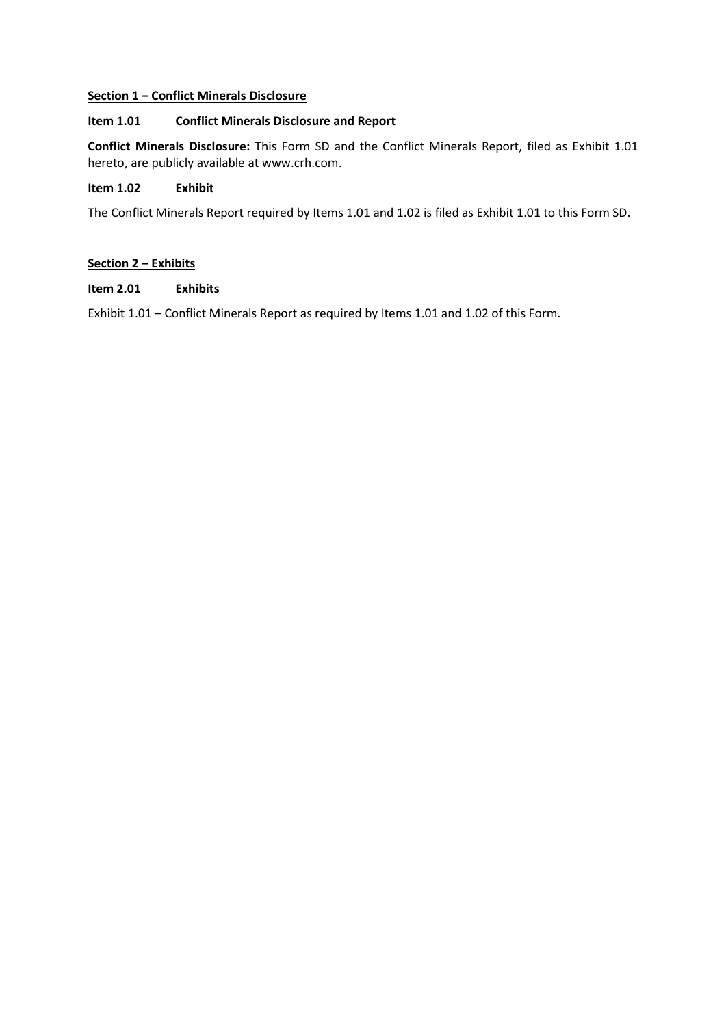# **Section 1 – Conflict Minerals Disclosure**

# **Item 1.01 Conflict Minerals Disclosure and Report**

**Conflict Minerals Disclosure:** This Form SD and the Conflict Minerals Report, filed as Exhibit 1.01 hereto, are publicly available at [www.crh.com.](http://www.crh.com/)

# **Item 1.02 Exhibit**

The Conflict Minerals Report required by Items 1.01 and 1.02 is filed as Exhibit 1.01 to this Form SD.

## **Section 2 – Exhibits**

**Item 2.01 Exhibits**

Exhibit 1.01 – Conflict Minerals Report as required by Items 1.01 and 1.02 of this Form.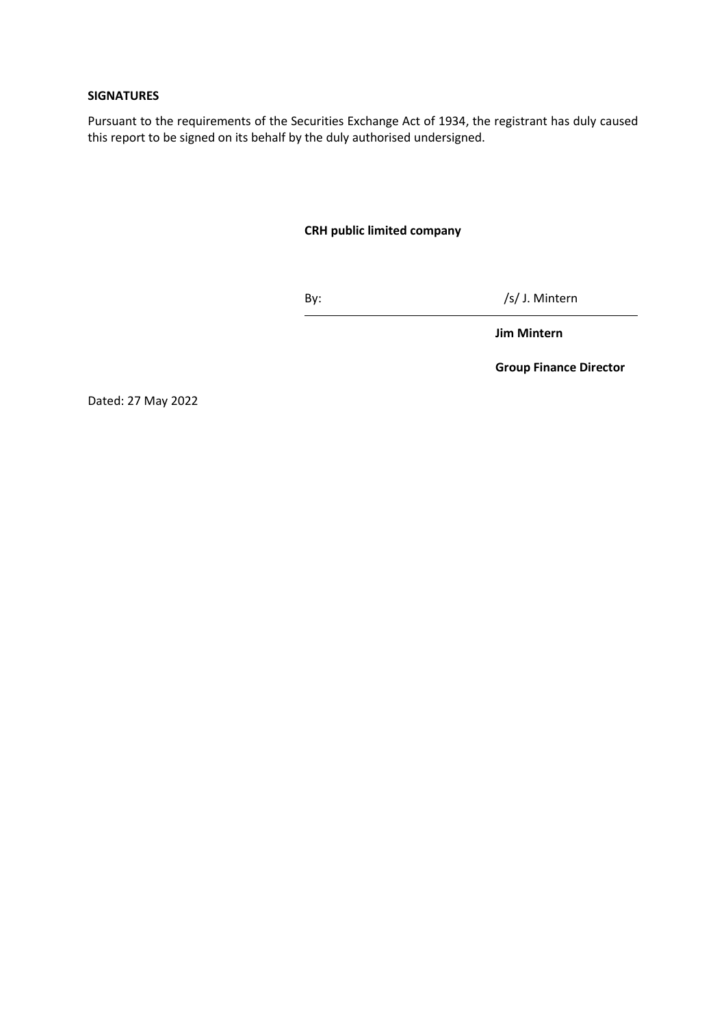## **SIGNATURES**

Pursuant to the requirements of the Securities Exchange Act of 1934, the registrant has duly caused this report to be signed on its behalf by the duly authorised undersigned.

# **CRH public limited company**

By: /s/ J. Mintern

**Jim Mintern**

**Group Finance Director**

Dated: 27 May 2022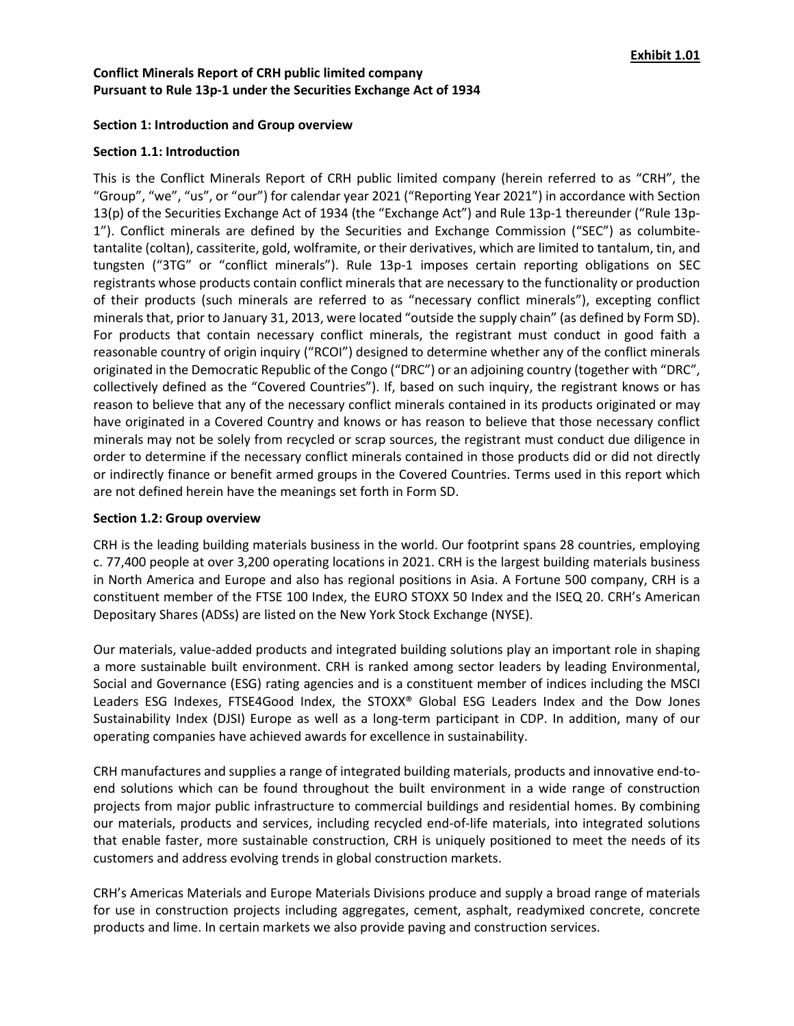## **Section 1: Introduction and Group overview**

## **Section 1.1: Introduction**

This is the Conflict Minerals Report of CRH public limited company (herein referred to as "CRH", the "Group", "we", "us", or "our") for calendar year 2021 ("Reporting Year 2021") in accordance with Section 13(p) of the Securities Exchange Act of 1934 (the "Exchange Act") and Rule 13p-1 thereunder ("Rule 13p-1"). Conflict minerals are defined by the Securities and Exchange Commission ("SEC") as columbitetantalite (coltan), cassiterite, gold, wolframite, or their derivatives, which are limited to tantalum, tin, and tungsten ("3TG" or "conflict minerals"). Rule 13p-1 imposes certain reporting obligations on SEC registrants whose products contain conflict minerals that are necessary to the functionality or production of their products (such minerals are referred to as "necessary conflict minerals"), excepting conflict minerals that, prior to January 31, 2013, were located "outside the supply chain" (as defined by Form SD). For products that contain necessary conflict minerals, the registrant must conduct in good faith a reasonable country of origin inquiry ("RCOI") designed to determine whether any of the conflict minerals originated in the Democratic Republic of the Congo ("DRC") or an adjoining country (together with "DRC", collectively defined as the "Covered Countries"). If, based on such inquiry, the registrant knows or has reason to believe that any of the necessary conflict minerals contained in its products originated or may have originated in a Covered Country and knows or has reason to believe that those necessary conflict minerals may not be solely from recycled or scrap sources, the registrant must conduct due diligence in order to determine if the necessary conflict minerals contained in those products did or did not directly or indirectly finance or benefit armed groups in the Covered Countries. Terms used in this report which are not defined herein have the meanings set forth in Form SD.

#### **Section 1.2: Group overview**

CRH is the leading building materials business in the world. Our footprint spans 28 countries, employing c. 77,400 people at over 3,200 operating locations in 2021. CRH is the largest building materials business in North America and Europe and also has regional positions in Asia. A Fortune 500 company, CRH is a constituent member of the FTSE 100 Index, the EURO STOXX 50 Index and the ISEQ 20. CRH's American Depositary Shares (ADSs) are listed on the New York Stock Exchange (NYSE).

Our materials, value-added products and integrated building solutions play an important role in shaping a more sustainable built environment. CRH is ranked among sector leaders by leading Environmental, Social and Governance (ESG) rating agencies and is a constituent member of indices including the MSCI Leaders ESG Indexes, FTSE4Good Index, the STOXX® Global ESG Leaders Index and the Dow Jones Sustainability Index (DJSI) Europe as well as a long-term participant in CDP. In addition, many of our operating companies have achieved awards for excellence in sustainability.

CRH manufactures and supplies a range of integrated building materials, products and innovative end-toend solutions which can be found throughout the built environment in a wide range of construction projects from major public infrastructure to commercial buildings and residential homes. By combining our materials, products and services, including recycled end-of-life materials, into integrated solutions that enable faster, more sustainable construction, CRH is uniquely positioned to meet the needs of its customers and address evolving trends in global construction markets.

CRH's Americas Materials and Europe Materials Divisions produce and supply a broad range of materials for use in construction projects including aggregates, cement, asphalt, readymixed concrete, concrete products and lime. In certain markets we also provide paving and construction services.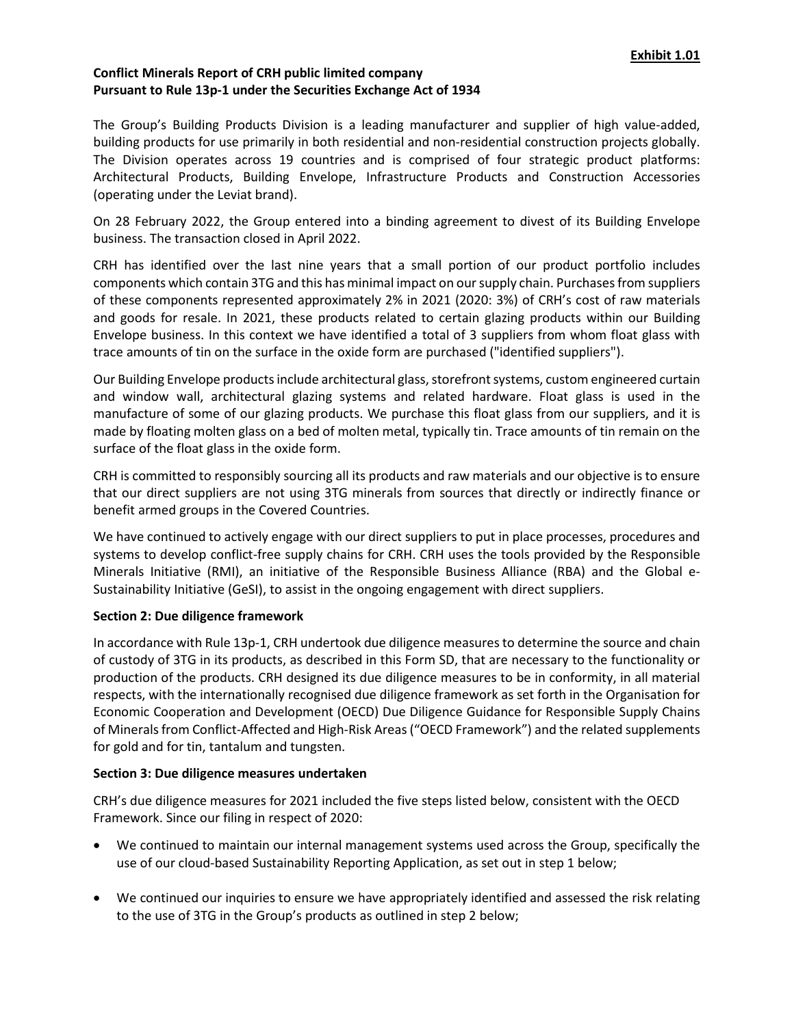The Group's Building Products Division is a leading manufacturer and supplier of high value-added, building products for use primarily in both residential and non-residential construction projects globally. The Division operates across 19 countries and is comprised of four strategic product platforms: Architectural Products, Building Envelope, Infrastructure Products and Construction Accessories (operating under the Leviat brand).

On 28 February 2022, the Group entered into a binding agreement to divest of its Building Envelope business. The transaction closed in April 2022.

CRH has identified over the last nine years that a small portion of our product portfolio includes components which contain 3TG and this has minimal impact on our supply chain. Purchasesfrom suppliers of these components represented approximately 2% in 2021 (2020: 3%) of CRH's cost of raw materials and goods for resale. In 2021, these products related to certain glazing products within our Building Envelope business. In this context we have identified a total of 3 suppliers from whom float glass with trace amounts of tin on the surface in the oxide form are purchased ("identified suppliers").

Our Building Envelope products include architectural glass, storefront systems, custom engineered curtain and window wall, architectural glazing systems and related hardware. Float glass is used in the manufacture of some of our glazing products. We purchase this float glass from our suppliers, and it is made by floating molten glass on a bed of molten metal, typically tin. Trace amounts of tin remain on the surface of the float glass in the oxide form.

CRH is committed to responsibly sourcing all its products and raw materials and our objective is to ensure that our direct suppliers are not using 3TG minerals from sources that directly or indirectly finance or benefit armed groups in the Covered Countries.

We have continued to actively engage with our direct suppliers to put in place processes, procedures and systems to develop conflict-free supply chains for CRH. CRH uses the tools provided by the Responsible Minerals Initiative (RMI), an initiative of the Responsible Business Alliance (RBA) and the Global e-Sustainability Initiative (GeSI), to assist in the ongoing engagement with direct suppliers.

## **Section 2: Due diligence framework**

In accordance with Rule 13p-1, CRH undertook due diligence measures to determine the source and chain of custody of 3TG in its products, as described in this Form SD, that are necessary to the functionality or production of the products. CRH designed its due diligence measures to be in conformity, in all material respects, with the internationally recognised due diligence framework as set forth in the Organisation for Economic Cooperation and Development (OECD) Due Diligence Guidance for Responsible Supply Chains of Minerals from Conflict-Affected and High-Risk Areas ("OECD Framework") and the related supplements for gold and for tin, tantalum and tungsten.

#### **Section 3: Due diligence measures undertaken**

CRH's due diligence measures for 2021 included the five steps listed below, consistent with the OECD Framework. Since our filing in respect of 2020:

- We continued to maintain our internal management systems used across the Group, specifically the use of our cloud-based Sustainability Reporting Application, as set out in step 1 below;
- We continued our inquiries to ensure we have appropriately identified and assessed the risk relating to the use of 3TG in the Group's products as outlined in step 2 below;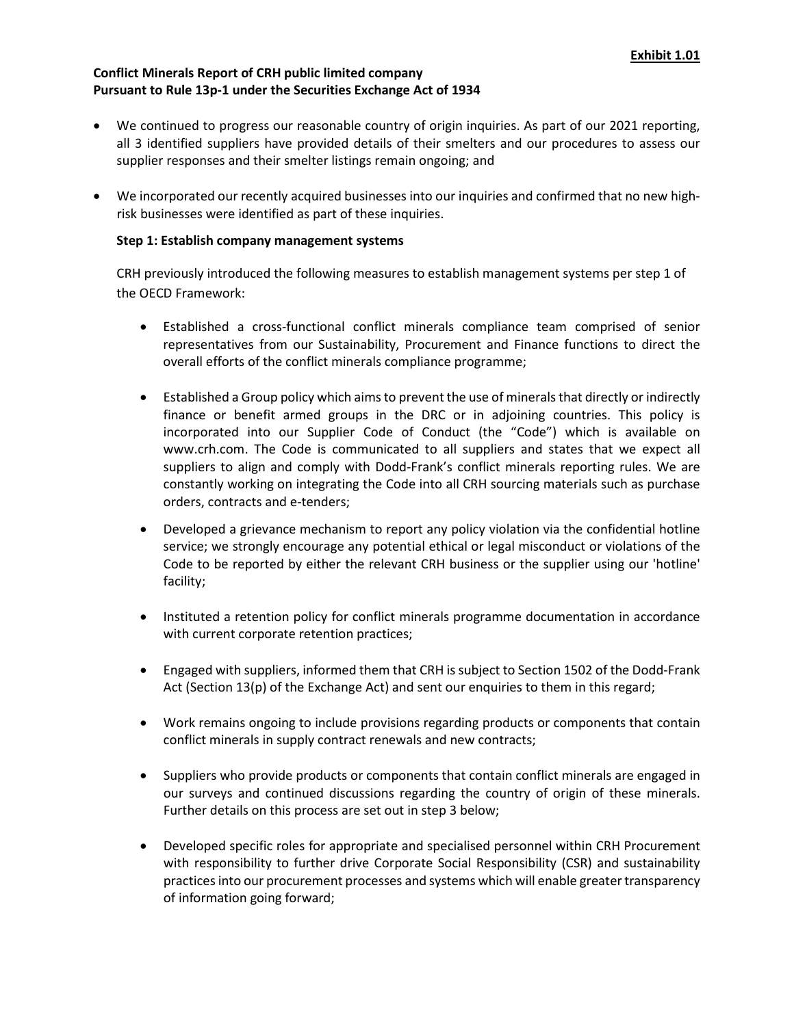- We continued to progress our reasonable country of origin inquiries. As part of our 2021 reporting, all 3 identified suppliers have provided details of their smelters and our procedures to assess our supplier responses and their smelter listings remain ongoing; and
- We incorporated our recently acquired businesses into our inquiries and confirmed that no new highrisk businesses were identified as part of these inquiries.

## **Step 1: Establish company management systems**

CRH previously introduced the following measures to establish management systems per step 1 of the OECD Framework:

- Established a cross-functional conflict minerals compliance team comprised of senior representatives from our Sustainability, Procurement and Finance functions to direct the overall efforts of the conflict minerals compliance programme;
- Established a Group policy which aims to prevent the use of minerals that directly or indirectly finance or benefit armed groups in the DRC or in adjoining countries. This policy is incorporated into our Supplier Code of Conduct (the "Code") which is available on [www.crh.com.](http://www.crh.com/) The Code is communicated to all suppliers and states that we expect all suppliers to align and comply with Dodd-Frank's conflict minerals reporting rules. We are constantly working on integrating the Code into all CRH sourcing materials such as purchase orders, contracts and e-tenders;
- Developed a grievance mechanism to report any policy violation via the confidential hotline service; we strongly encourage any potential ethical or legal misconduct or violations of the Code to be reported by either the relevant CRH business or the supplier using our 'hotline' facility;
- Instituted a retention policy for conflict minerals programme documentation in accordance with current corporate retention practices;
- Engaged with suppliers, informed them that CRH is subject to Section 1502 of the Dodd-Frank Act (Section 13(p) of the Exchange Act) and sent our enquiries to them in this regard;
- Work remains ongoing to include provisions regarding products or components that contain conflict minerals in supply contract renewals and new contracts;
- Suppliers who provide products or components that contain conflict minerals are engaged in our surveys and continued discussions regarding the country of origin of these minerals. Further details on this process are set out in step 3 below;
- Developed specific roles for appropriate and specialised personnel within CRH Procurement with responsibility to further drive Corporate Social Responsibility (CSR) and sustainability practices into our procurement processes and systems which will enable greater transparency of information going forward;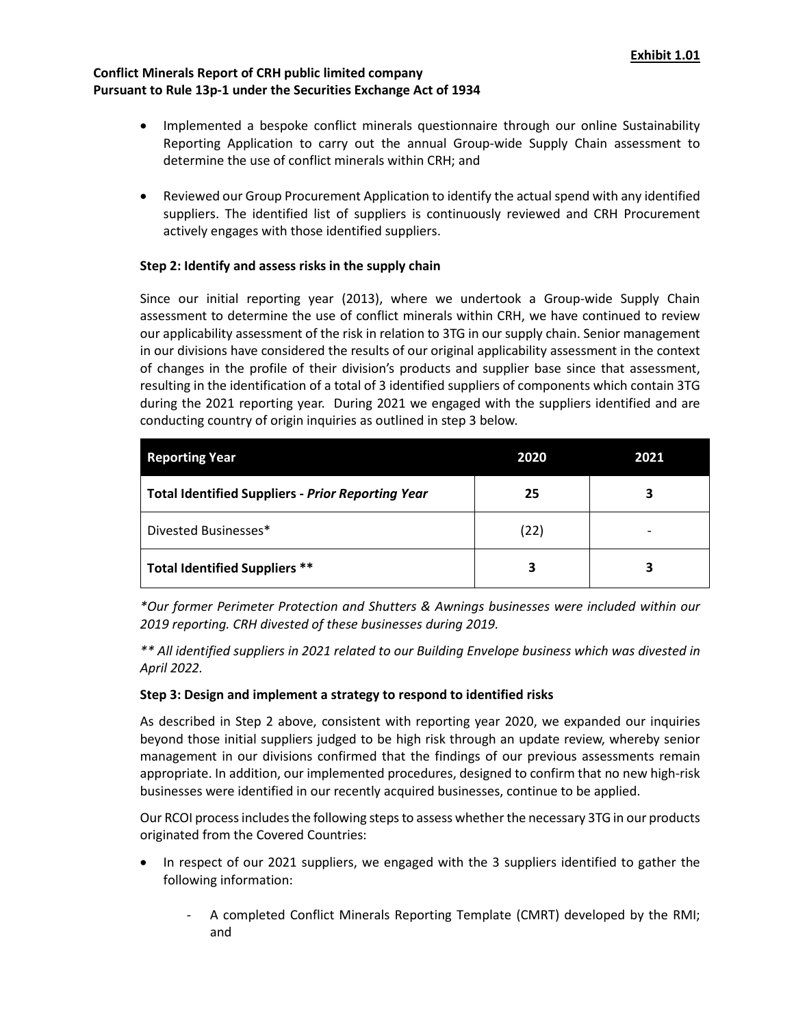- Implemented a bespoke conflict minerals questionnaire through our online Sustainability Reporting Application to carry out the annual Group-wide Supply Chain assessment to determine the use of conflict minerals within CRH; and
- Reviewed our Group Procurement Application to identify the actual spend with any identified suppliers. The identified list of suppliers is continuously reviewed and CRH Procurement actively engages with those identified suppliers.

## **Step 2: Identify and assess risks in the supply chain**

Since our initial reporting year (2013), where we undertook a Group-wide Supply Chain assessment to determine the use of conflict minerals within CRH, we have continued to review our applicability assessment of the risk in relation to 3TG in our supply chain. Senior management in our divisions have considered the results of our original applicability assessment in the context of changes in the profile of their division's products and supplier base since that assessment, resulting in the identification of a total of 3 identified suppliers of components which contain 3TG during the 2021 reporting year. During 2021 we engaged with the suppliers identified and are conducting country of origin inquiries as outlined in step 3 below.

| <b>Reporting Year</b>                                    | 2020 | 2021 |
|----------------------------------------------------------|------|------|
| <b>Total Identified Suppliers - Prior Reporting Year</b> | 25   | 3    |
| Divested Businesses*                                     | (22) |      |
| <b>Total Identified Suppliers **</b>                     |      | 3    |

*\*Our former Perimeter Protection and Shutters & Awnings businesses were included within our 2019 reporting. CRH divested of these businesses during 2019.*

*\*\* All identified suppliers in 2021 related to our Building Envelope business which was divested in April 2022.*

## **Step 3: Design and implement a strategy to respond to identified risks**

As described in Step 2 above, consistent with reporting year 2020, we expanded our inquiries beyond those initial suppliers judged to be high risk through an update review, whereby senior management in our divisions confirmed that the findings of our previous assessments remain appropriate. In addition, our implemented procedures, designed to confirm that no new high-risk businesses were identified in our recently acquired businesses, continue to be applied.

Our RCOI process includes the following steps to assess whether the necessary 3TG in our products originated from the Covered Countries:

- In respect of our 2021 suppliers, we engaged with the 3 suppliers identified to gather the following information:
	- A completed Conflict Minerals Reporting Template (CMRT) developed by the RMI; and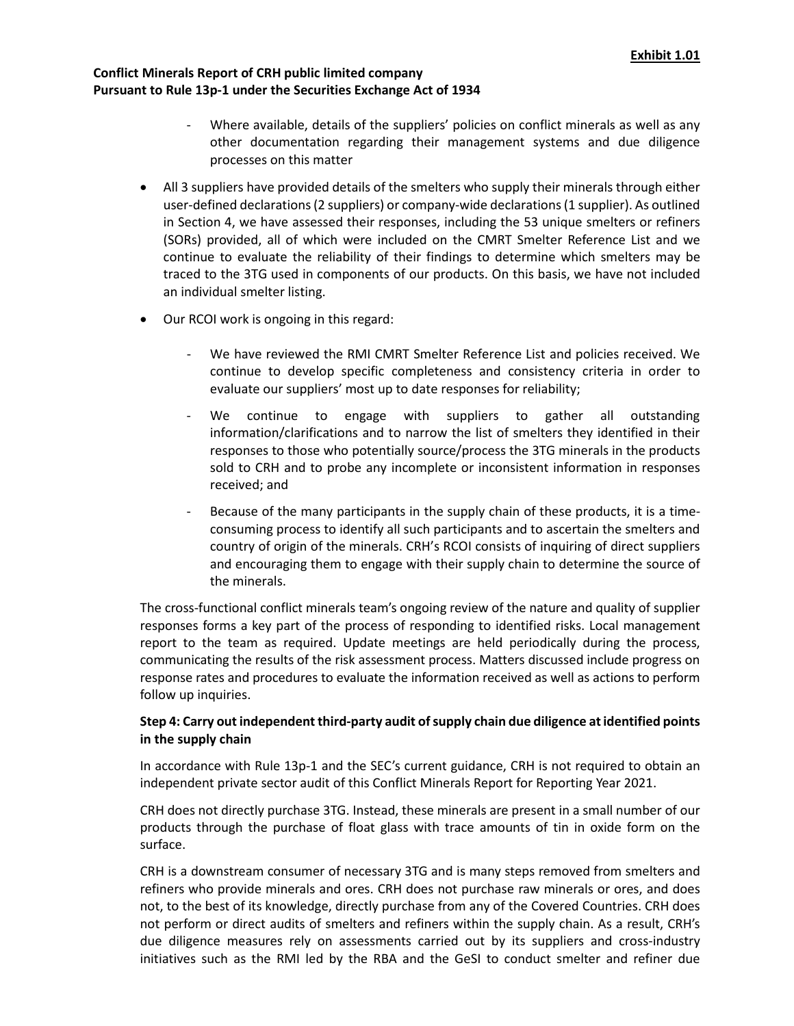- Where available, details of the suppliers' policies on conflict minerals as well as any other documentation regarding their management systems and due diligence processes on this matter
- All 3 suppliers have provided details of the smelters who supply their minerals through either user-defined declarations(2 suppliers) or company-wide declarations(1 supplier). As outlined in Section 4, we have assessed their responses, including the 53 unique smelters or refiners (SORs) provided, all of which were included on the CMRT Smelter Reference List and we continue to evaluate the reliability of their findings to determine which smelters may be traced to the 3TG used in components of our products. On this basis, we have not included an individual smelter listing.
- Our RCOI work is ongoing in this regard:
	- We have reviewed the RMI CMRT Smelter Reference List and policies received. We continue to develop specific completeness and consistency criteria in order to evaluate our suppliers' most up to date responses for reliability;
	- We continue to engage with suppliers to gather all outstanding information/clarifications and to narrow the list of smelters they identified in their responses to those who potentially source/process the 3TG minerals in the products sold to CRH and to probe any incomplete or inconsistent information in responses received; and
	- Because of the many participants in the supply chain of these products, it is a timeconsuming process to identify all such participants and to ascertain the smelters and country of origin of the minerals. CRH's RCOI consists of inquiring of direct suppliers and encouraging them to engage with their supply chain to determine the source of the minerals.

The cross-functional conflict minerals team's ongoing review of the nature and quality of supplier responses forms a key part of the process of responding to identified risks. Local management report to the team as required. Update meetings are held periodically during the process, communicating the results of the risk assessment process. Matters discussed include progress on response rates and procedures to evaluate the information received as well as actions to perform follow up inquiries.

# **Step 4: Carry out independent third-party audit of supply chain due diligence at identified points in the supply chain**

In accordance with Rule 13p-1 and the SEC's current guidance, CRH is not required to obtain an independent private sector audit of this Conflict Minerals Report for Reporting Year 2021.

CRH does not directly purchase 3TG. Instead, these minerals are present in a small number of our products through the purchase of float glass with trace amounts of tin in oxide form on the surface.

CRH is a downstream consumer of necessary 3TG and is many steps removed from smelters and refiners who provide minerals and ores. CRH does not purchase raw minerals or ores, and does not, to the best of its knowledge, directly purchase from any of the Covered Countries. CRH does not perform or direct audits of smelters and refiners within the supply chain. As a result, CRH's due diligence measures rely on assessments carried out by its suppliers and cross-industry initiatives such as the RMI led by the RBA and the GeSI to conduct smelter and refiner due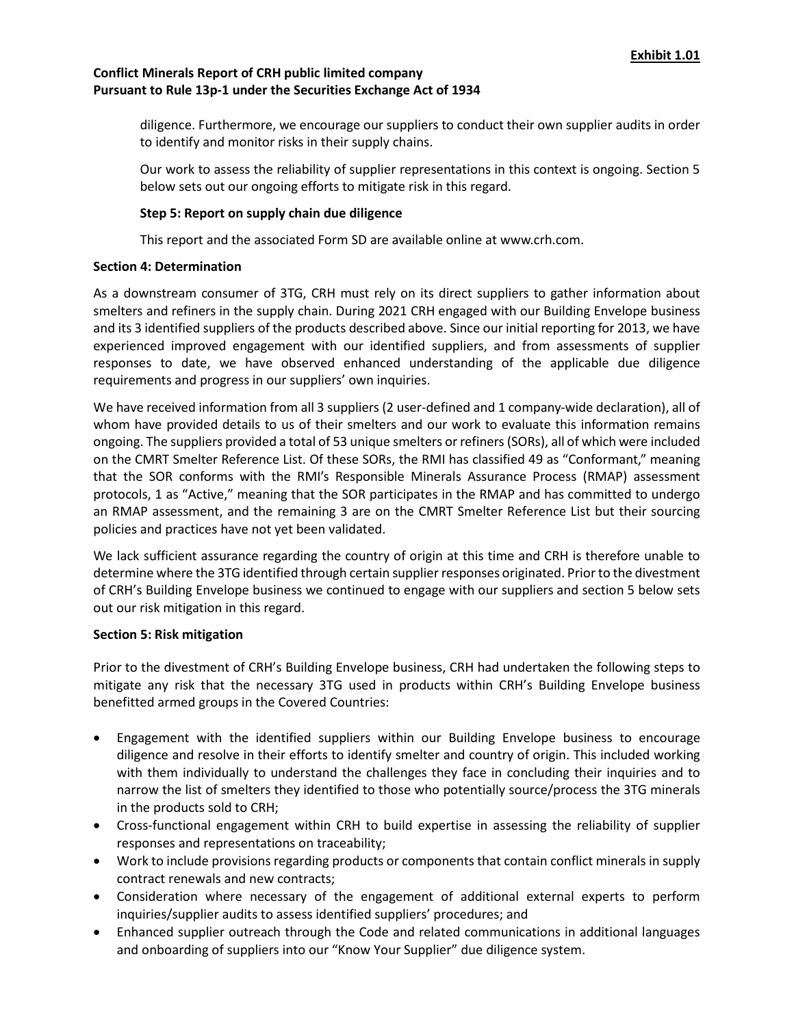diligence. Furthermore, we encourage our suppliers to conduct their own supplier audits in order to identify and monitor risks in their supply chains.

Our work to assess the reliability of supplier representations in this context is ongoing. Section 5 below sets out our ongoing efforts to mitigate risk in this regard.

## **Step 5: Report on supply chain due diligence**

This report and the associated Form SD are available online at [www.crh.com.](http://www.crh.com/)

## **Section 4: Determination**

As a downstream consumer of 3TG, CRH must rely on its direct suppliers to gather information about smelters and refiners in the supply chain. During 2021 CRH engaged with our Building Envelope business and its 3 identified suppliers of the products described above. Since our initial reporting for 2013, we have experienced improved engagement with our identified suppliers, and from assessments of supplier responses to date, we have observed enhanced understanding of the applicable due diligence requirements and progress in our suppliers' own inquiries.

We have received information from all 3 suppliers (2 user-defined and 1 company-wide declaration), all of whom have provided details to us of their smelters and our work to evaluate this information remains ongoing. The suppliers provided a total of 53 unique smelters or refiners (SORs), all of which were included on the CMRT Smelter Reference List. Of these SORs, the RMI has classified 49 as "Conformant," meaning that the SOR conforms with the RMI's Responsible Minerals Assurance Process (RMAP) assessment protocols, 1 as "Active," meaning that the SOR participates in the RMAP and has committed to undergo an RMAP assessment, and the remaining 3 are on the CMRT Smelter Reference List but their sourcing policies and practices have not yet been validated.

We lack sufficient assurance regarding the country of origin at this time and CRH is therefore unable to determine where the 3TG identified through certain supplier responses originated. Prior to the divestment of CRH's Building Envelope business we continued to engage with our suppliers and section 5 below sets out our risk mitigation in this regard.

#### **Section 5: Risk mitigation**

Prior to the divestment of CRH's Building Envelope business, CRH had undertaken the following steps to mitigate any risk that the necessary 3TG used in products within CRH's Building Envelope business benefitted armed groups in the Covered Countries:

- Engagement with the identified suppliers within our Building Envelope business to encourage diligence and resolve in their efforts to identify smelter and country of origin. This included working with them individually to understand the challenges they face in concluding their inquiries and to narrow the list of smelters they identified to those who potentially source/process the 3TG minerals in the products sold to CRH;
- Cross-functional engagement within CRH to build expertise in assessing the reliability of supplier responses and representations on traceability;
- Work to include provisions regarding products or components that contain conflict minerals in supply contract renewals and new contracts;
- Consideration where necessary of the engagement of additional external experts to perform inquiries/supplier audits to assess identified suppliers' procedures; and
- Enhanced supplier outreach through the Code and related communications in additional languages and onboarding of suppliers into our "Know Your Supplier" due diligence system.